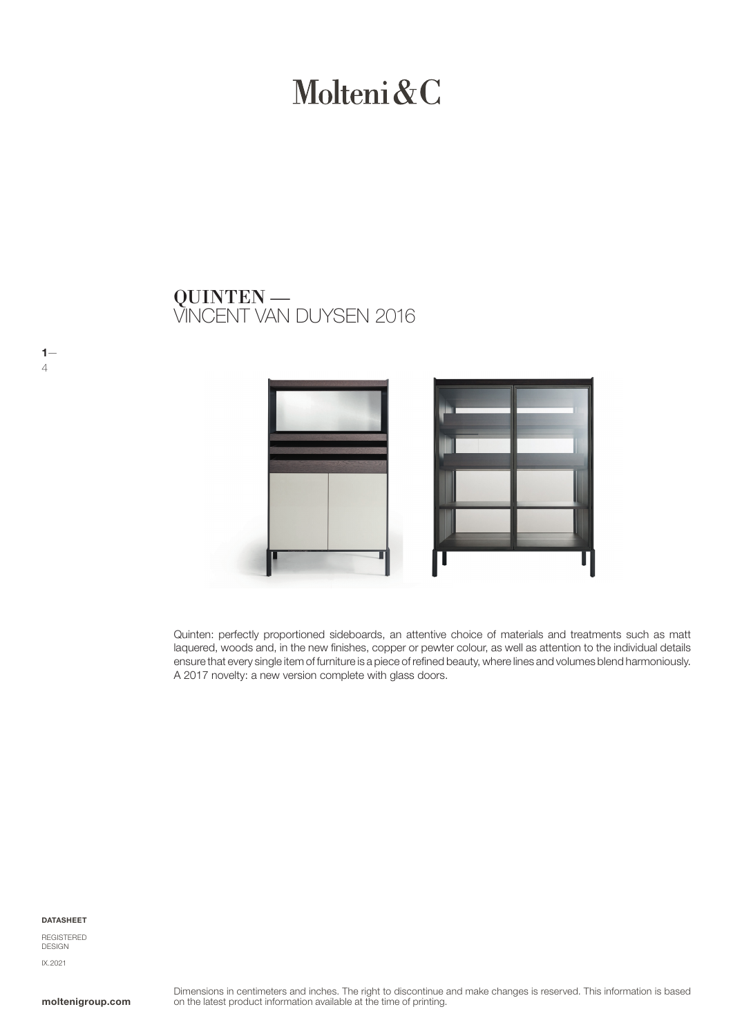# Molteni&C

## VINCENT VAN DUYSEN 2016 QUINTEN —



Quinten: perfectly proportioned sideboards, an attentive choice of materials and treatments such as matt laquered, woods and, in the new finishes, copper or pewter colour, as well as attention to the individual details ensure that every single item of furniture is a piece of refined beauty, where lines and volumes blend harmoniously. A 2017 novelty: a new version complete with glass doors.

### DATASHEET

 $1-$ 

4

REGISTERED DESIGN IX.2021

moltenigroup.com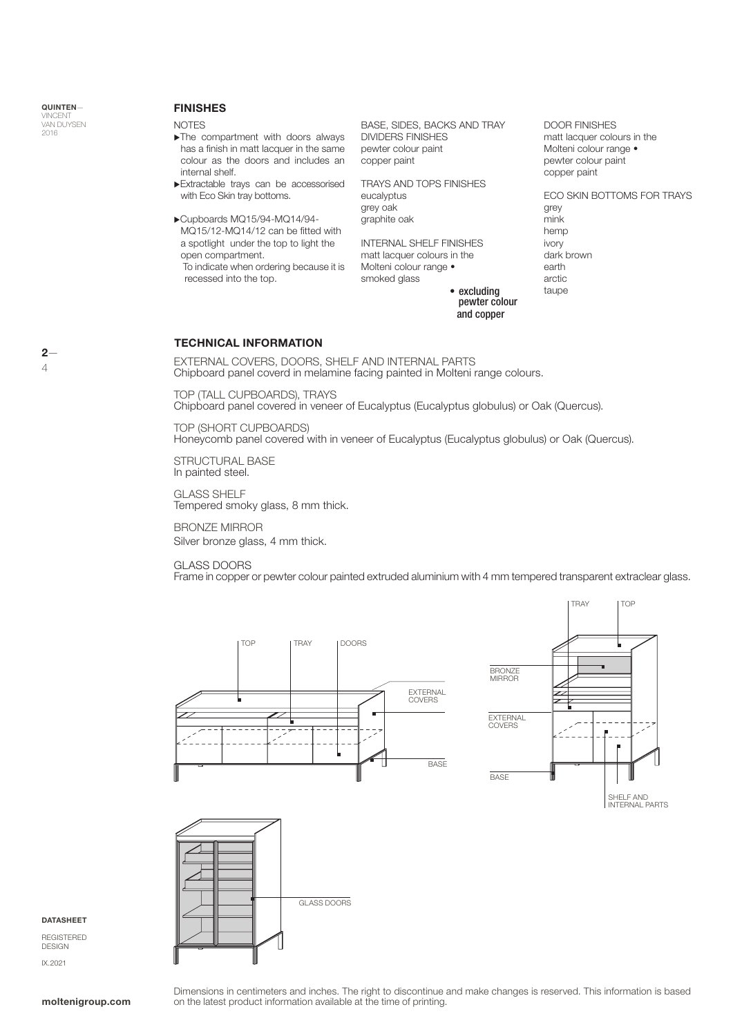## FINISHES

NOTES

- $\blacktriangleright$ The compartment with doors always has a finish in matt lacquer in the same colour as the doors and includes an internal shelf.
- Extractable trays can be accessorised with Eco Skin tray bottoms.
- Cupboards MQ15/94-MQ14/94- MQ15/12-MQ14/12 can be fitted with a spotlight under the top to light the open compartment.

 To indicate when ordering because it is recessed into the top.

BASE, SIDES, BACKS AND TRAY DIVIDERS FINISHES pewter colour paint copper paint

TRAYS AND TOPS FINISHES eucalyptus grey oak graphite oak

INTERNAL SHELF FINISHES matt lacquer colours in the Molteni colour range • smoked glass

DOOR FINISHES matt lacquer colours in the Molteni colour range • pewter colour paint copper paint

ECO SKIN BOTTOMS FOR TRAYS grey mink hemp ivory dark brown earth arctic taupe

• excluding<br>pewter colour and copper

## TECHNICAL INFORMATION

EXTERNAL COVERS, DOORS, SHELF AND INTERNAL PARTS Chipboard panel coverd in melamine facing painted in Molteni range colours.

TOP (TALL CUPBOARDS), TRAYS Chipboard panel covered in veneer of Eucalyptus (Eucalyptus globulus) or Oak (Quercus).

TOP (SHORT CUPBOARDS) Honeycomb panel covered with in veneer of Eucalyptus (Eucalyptus globulus) or Oak (Quercus).

STRUCTURAL BASE In painted steel.

GLASS SHELF Tempered smoky glass, 8 mm thick.

BRONZE MIRROR Silver bronze glass, 4 mm thick.

## GLASS DOORS

Frame in copper or pewter colour painted extruded aluminium with 4 mm tempered transparent extraclear glass.







## **DATASHEET**

**REGISTERED** DESIGN IX.2021

Dimensions in centimeters and inches. The right to discontinue and make changes is reserved. This information is based on the latest product information available at the time of printing.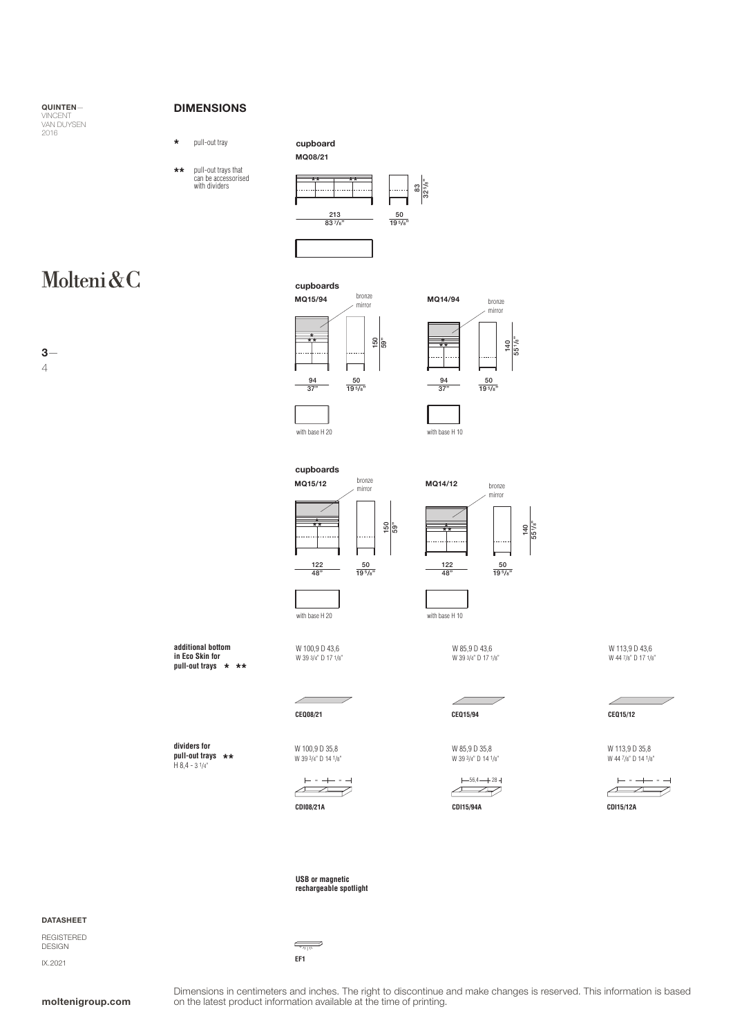QUINTEN— VINCENT<br>VAN DUYSEN<br>2016

## DIMENSIONS

pull-out tray cupboard **\***

**additional bottom in Eco Skin for pull-out trays \* \*\***

**dividers for pull-out trays** H 8,4 - 3 1/4" **\*\*** MQ08/21





## Molteni&C

3— 4

bronze mirror 94 37"  $\frac{50}{19^{5/8}}$ 150 59" **\*\* \*** MQ15/94 cupboards **\***





MQ15/12 150 59" **\*\* \* \* \*\*** cupboards bronze



W 85,9 D 43,6 W 39 3/4" D 17 1/8"

╱

W 113,9 D 43,6 W 44 7/8" D 17 1/8"

**CEQ15/12**

╱





**USB or magnetic rechargeable spotlight**

**EF1**

 $\overline{\phantom{a}}$ 

## DATASHEET

REGISTERED DESIGN IX.2021

moltenigroup.com

Dimensions in centimeters and inches. The right to discontinue and make changes is reserved. This information is based on the latest product information available at the time of printing.

**CEQ08/21 CEQ15/94**

W 100,9 D 35,8 W 39 3/4" D 14 1/8"

W 85,9 D 35,8

W 39 3/4" D 14 1/8"













W 100,9 D 43,6 W 39 3/4" D 17 1/8"